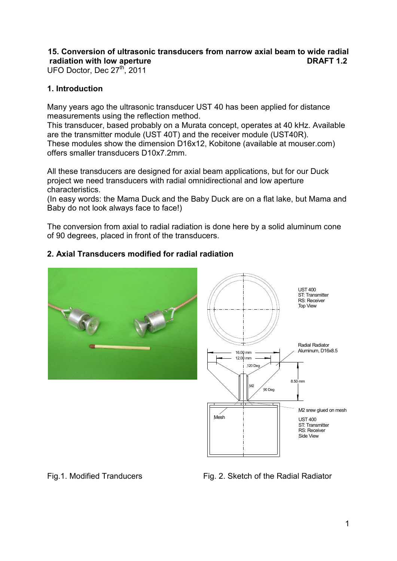# **15. Conversion of ultrasonic transducers from narrow axial beam to wide radial radiation with low aperture discussed by a set of the DRAFT 1.2**

UFO Doctor, Dec 27<sup>th</sup>, 2011

## **1. Introduction**

Many years ago the ultrasonic transducer UST 40 has been applied for distance measurements using the reflection method.

This transducer, based probably on a Murata concept, operates at 40 kHz. Available are the transmitter module (UST 40T) and the receiver module (UST40R). These modules show the dimension D16x12, Kobitone (available at mouser.com) offers smaller transducers D10x7.2mm.

All these transducers are designed for axial beam applications, but for our Duck project we need transducers with radial omnidirectional and low aperture characteristics.

(In easy words: the Mama Duck and the Baby Duck are on a flat lake, but Mama and Baby do not look always face to face!)

The conversion from axial to radial radiation is done here by a solid aluminum cone of 90 degrees, placed in front of the transducers.

## **2. Axial Transducers modified for radial radiation**



Fig.1. Modified Tranducers Fig. 2. Sketch of the Radial Radiator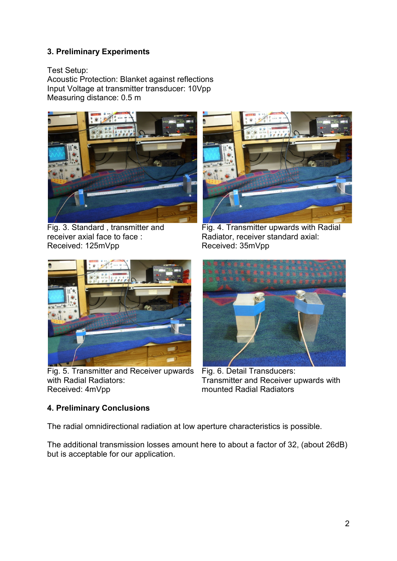# **3. Preliminary Experiments**

Test Setup:

Acoustic Protection: Blanket against reflections Input Voltage at transmitter transducer: 10Vpp Measuring distance: 0.5 m



Fig. 3. Standard , transmitter and receiver axial face to face : Received: 125mVpp



Fig. 4. Transmitter upwards with Radial Radiator, receiver standard axial: Received: 35mVpp



Fig. 5. Transmitter and Receiver upwards with Radial Radiators: Received: 4mVpp



Fig. 6. Detail Transducers: Transmitter and Receiver upwards with mounted Radial Radiators

# **4. Preliminary Conclusions**

The radial omnidirectional radiation at low aperture characteristics is possible.

The additional transmission losses amount here to about a factor of 32, (about 26dB) but is acceptable for our application.